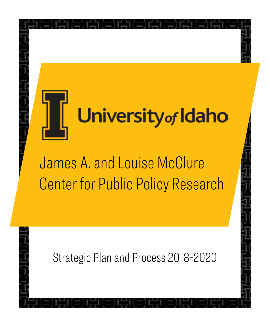# University of Idaho

# James A. and Louise McClure Center for Public Policy Research

Strategic Plan and Process 2018-2020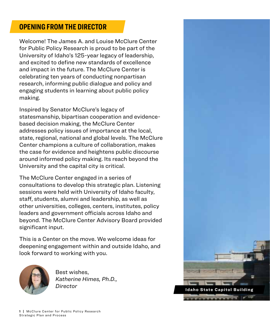#### **OPENING FROM THE DIRECTOR**

Welcome! The James A. and Louise McClure Center for Public Policy Research is proud to be part of the University of Idaho's 125-year legacy of leadership, and excited to define new standards of excellence and impact in the future. The McClure Center is celebrating ten years of conducting nonpartisan research, informing public dialogue and policy and engaging students in learning about public policy making.

Inspired by Senator McClure's legacy of statesmanship, bipartisan cooperation and evidencebased decision making, the McClure Center addresses policy issues of importance at the local, state, regional, national and global levels. The McClure Center champions a culture of collaboration, makes the case for evidence and heightens public discourse around informed policy making. Its reach beyond the University and the capital city is critical.

The McClure Center engaged in a series of consultations to develop this strategic plan. Listening sessions were held with University of Idaho faculty, staff, students, alumni and leadership, as well as other universities, colleges, centers, institutes, policy leaders and government officials across Idaho and beyond. The McClure Center Advisory Board provided significant input.

This is a Center on the move. We welcome ideas for deepening engagement within and outside Idaho, and look forward to working with you.



Best wishes, *Katherine Himes, Ph.D.,* 

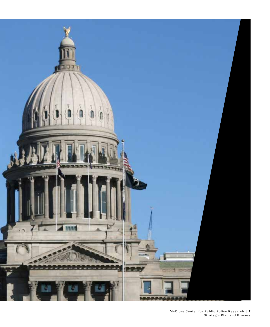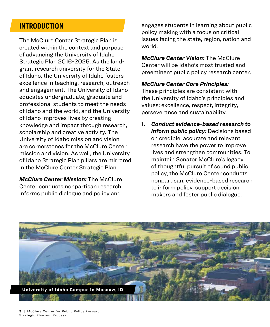#### **INTRODUCTION**

The McClure Center Strategic Plan is created within the context and purpose of advancing the University of Idaho Strategic Plan 2016-2025. As the landgrant research university for the State of Idaho, the University of Idaho fosters excellence in teaching, research, outreach and engagement. The University of Idaho educates undergraduate, graduate and professional students to meet the needs of Idaho and the world, and the University of Idaho improves lives by creating knowledge and impact through research, scholarship and creative activity. The University of Idaho mission and vision are cornerstones for the McClure Center mission and vision. As well, the University of Idaho Strategic Plan pillars are mirrored in the McClure Center Strategic Plan.

*McClure Center Mission:* The McClure Center conducts nonpartisan research, informs public dialogue and policy and

engages students in learning about public policy making with a focus on critical issues facing the state, region, nation and world.

*McClure Center Vision:* The McClure Center will be Idaho's most trusted and preeminent public policy research center.

#### *McClure Center Core Principles:*

These principles are consistent with the University of Idaho's principles and values: excellence, respect, integrity, perseverance and sustainability.

**1.** *Conduct evidence-based research to inform public policy:* Decisions based on credible, accurate and relevant research have the power to improve lives and strengthen communities. To maintain Senator McClure's legacy of thoughtful pursuit of sound public policy, the McClure Center conducts nonpartisan, evidence-based research to inform policy, support decision makers and foster public dialogue.

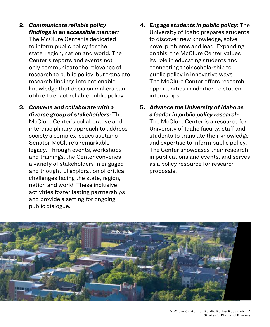- **2.** *Communicate reliable policy findings in an accessible manner:* The McClure Center is dedicated to inform public policy for the state, region, nation and world. The Center's reports and events not only communicate the relevance of research to public policy, but translate research findings into actionable knowledge that decision makers can utilize to enact reliable public policy.
- **3.** *Convene and collaborate with a diverse group of stakeholders:* The McClure Center's collaborative and interdisciplinary approach to address society's complex issues sustains Senator McClure's remarkable legacy. Through events, workshops and trainings, the Center convenes a variety of stakeholders in engaged and thoughtful exploration of critical challenges facing the state, region, nation and world. These inclusive activities foster lasting partnerships and provide a setting for ongoing public dialogue.
- **4.** *Engage students in public policy:* The University of Idaho prepares students to discover new knowledge, solve novel problems and lead. Expanding on this, the McClure Center values its role in educating students and connecting their scholarship to public policy in innovative ways. The McClure Center offers research opportunities in addition to student internships.
- **5.** *Advance the University of Idaho as a leader in public policy research:*  The McClure Center is a resource for University of Idaho faculty, staff and students to translate their knowledge and expertise to inform public policy. The Center showcases their research in publications and events, and serves as a policy resource for research proposals.

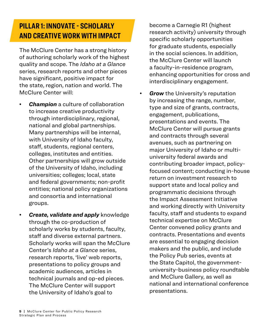#### **PILLAR 1: INNOVATE - SCHOLARLY AND CREATIVE WORK WITH IMPACT**

The McClure Center has a strong history of authoring scholarly work of the highest quality and scope. The *Idaho at a Glance* series, research reports and other pieces have significant, positive impact for the state, region, nation and world. The McClure Center will:

- *Champion* a culture of collaboration to increase creative productivity through interdisciplinary, regional, national and global partnerships. Many partnerships will be internal, with University of Idaho faculty, staff, students, regional centers, colleges, institutes and entities. Other partnerships will grow outside of the University of Idaho, including universities; colleges; local, state and federal governments; non-profit entities; national policy organizations and consortia and international groups.
- *Create, validate and apply* knowledge through the co-production of scholarly works by students, faculty, staff and diverse external partners. Scholarly works will span the McClure Center's *Idaho at a Glance* series, research reports, 'live' web reports, presentations to policy groups and academic audiences, articles in technical journals and op-ed pieces. The McClure Center will support the University of Idaho's goal to

become a Carnegie R1 (highest research activity) university through specific scholarly opportunities for graduate students, especially in the social sciences. In addition, the McClure Center will launch a faculty-in-residence program, enhancing opportunities for cross and interdisciplinary engagement.

*Grow* the University's reputation by increasing the range, number, type and size of grants, contracts, engagement, publications, presentations and events. The McClure Center will pursue grants and contracts through several avenues, such as partnering on major University of Idaho or multiuniversity federal awards and contributing broader impact, policyfocused content; conducting in-house return on investment research to support state and local policy and programmatic decisions through the Impact Assessment Initiative and working directly with University faculty, staff and students to expand technical expertise on McClure Center convened policy grants and contracts. Presentations and events are essential to engaging decision makers and the public, and include the Policy Pub series, events at the State Capitol, the governmentuniversity-business policy roundtable and McClure Gallery, as well as national and international conference presentations.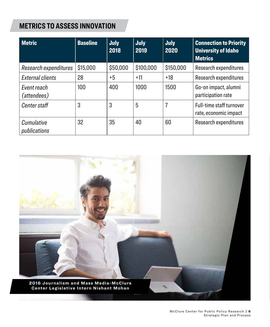# **METRICS TO ASSESS INNOVATION**

| <b>Metric</b>              | <b>Baseline</b> | July<br>2018 | July<br>2019 | July<br>2020 | <b>Connection to Priority</b><br><b>University of Idaho</b><br><b>Metrics</b> |
|----------------------------|-----------------|--------------|--------------|--------------|-------------------------------------------------------------------------------|
| Research expenditures      | \$15,000        | \$50,000     | \$100,000    | \$150,000    | Research expenditures                                                         |
| <b>External clients</b>    | 28              | $+5$         | $+11$        | $+18$        | Research expenditures                                                         |
| Event reach<br>(attendees) | 100             | 400          | 1000         | 1500         | Go-on impact, alumni<br>participation rate                                    |
| Center staff               | 3               | 3            | 5            | 7            | Full-time staff turnover<br>rate, economic impact                             |
| Cumulative<br>publications | 32              | 35           | 40           | 60           | Research expenditures                                                         |

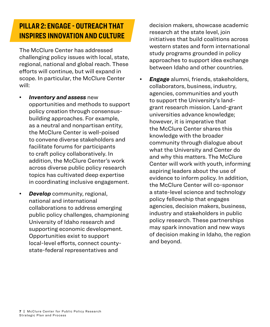#### **PILLAR 2: ENGAGE - OUTREACH THAT INSPIRES INNOVATION AND CULTURE**

The McClure Center has addressed challenging policy issues with local, state, regional, national and global reach. These efforts will continue, but will expand in scope. In particular, the McClure Center will:

- *Inventory and assess* new opportunities and methods to support policy creation through consensusbuilding approaches. For example, as a neutral and nonpartisan entity, the McClure Center is well-poised to convene diverse stakeholders and facilitate forums for participants to craft policy collaboratively. In addition, the McClure Center's work across diverse public policy research topics has cultivated deep expertise in coordinating inclusive engagement.
- *Develop* community, regional, national and international collaborations to address emerging public policy challenges, championing University of Idaho research and supporting economic development. Opportunities exist to support local-level efforts, connect countystate-federal representatives and

decision makers, showcase academic research at the state level, join initiatives that build coalitions across western states and form international study programs grounded in policy approaches to support idea exchange between Idaho and other countries.

• *Engage* alumni, friends, stakeholders, collaborators, business, industry, agencies, communities and youth to support the University's landgrant research mission. Land-grant universities advance knowledge; however, it is imperative that the McClure Center shares this knowledge with the broader community through dialogue about what the University and Center do and why this matters. The McClure Center will work with youth, informing aspiring leaders about the use of evidence to inform policy. In addition, the McClure Center will co-sponsor a state-level science and technology policy fellowship that engages agencies, decision makers, business, industry and stakeholders in public policy research. These partnerships may spark innovation and new ways of decision making in Idaho, the region and beyond.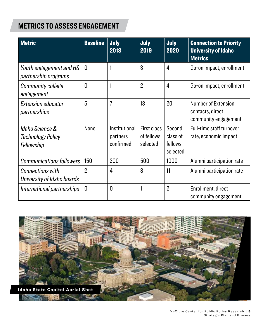# **METRICS TO ASSESS ENGAGEMENT**

| <b>Metric</b>                                             | <b>Baseline</b> | July<br>2018                           | July<br>2019                          | July<br>2020                              | <b>Connection to Priority</b><br><b>University of Idaho</b><br><b>Metrics</b> |
|-----------------------------------------------------------|-----------------|----------------------------------------|---------------------------------------|-------------------------------------------|-------------------------------------------------------------------------------|
| Youth engagement and HS<br>partnership programs           | 0               | 1                                      | 3                                     | 4                                         | Go-on impact, enrollment                                                      |
| Community college<br>engagement                           | 0               | 1                                      | $\overline{2}$                        | $\overline{4}$                            | Go-on impact, enrollment                                                      |
| <b>Extension educator</b><br>partnerships                 | 5               | $\overline{7}$                         | 13                                    | 20                                        | Number of Extension<br>contacts, direct<br>community engagement               |
| Idaho Science &<br><b>Technology Policy</b><br>Fellowship | None            | Institutional<br>partners<br>confirmed | First class<br>of fellows<br>selected | Second<br>class of<br>fellows<br>selected | Full-time staff turnover<br>rate, economic impact                             |
| <b>Communications followers</b>                           | 150             | 300                                    | 500                                   | 1000                                      | Alumni participation rate                                                     |
| <b>Connections with</b><br>University of Idaho boards     | $\overline{c}$  | 4                                      | 8                                     | 11                                        | Alumni participation rate                                                     |
| International partnerships                                | 0               | 0                                      |                                       | $\overline{c}$                            | Enrollment, direct<br>community engagement                                    |

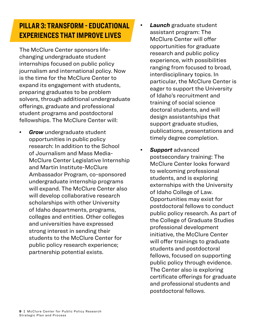# **PILLAR 3: TRANSFORM - EDUCATIONAL EXPERIENCES THAT IMPROVE LIVES**

The McClure Center sponsors lifechanging undergraduate student internships focused on public policy journalism and international policy. Now is the time for the McClure Center to expand its engagement with students, preparing graduates to be problem solvers, through additional undergraduate offerings, graduate and professional student programs and postdoctoral fellowships. The McClure Center will:

- *Grow* undergraduate student opportunities in public policy research: In addition to the School of Journalism and Mass Media-McClure Center Legislative Internship and Martin Institute-McClure Ambassador Program, co-sponsored undergraduate internship programs will expand. The McClure Center also will develop collaborative research scholarships with other University of Idaho departments, programs, colleges and entities. Other colleges and universities have expressed strong interest in sending their students to the McClure Center for public policy research experience; partnership potential exists.
- *Launch* graduate student assistant program: The McClure Center will offer opportunities for graduate research and public policy experience, with possibilities ranging from focused to broad, interdisciplinary topics. In particular, the McClure Center is eager to support the University of Idaho's recruitment and training of social science doctoral students, and will design assistantships that support graduate studies, publications, presentations and timely degree completion.
- *Support* advanced postsecondary training: The McClure Center looks forward to welcoming professional students, and is exploring externships with the University of Idaho College of Law. Opportunities may exist for postdoctoral fellows to conduct public policy research. As part of the College of Graduate Studies professional development initiative, the McClure Center will offer trainings to graduate students and postdoctoral fellows, focused on supporting public policy through evidence. The Center also is exploring certificate offerings for graduate and professional students and postdoctoral fellows.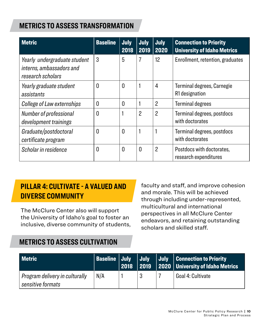#### **METRICS TO ASSESS TRANSFORMATION**

| <b>Metric</b>                                                                 | <b>Baseline</b> | July<br>2018 | July<br>2019   | July<br>2020   | <b>Connection to Priority</b><br><b>University of Idaho Metrics</b> |
|-------------------------------------------------------------------------------|-----------------|--------------|----------------|----------------|---------------------------------------------------------------------|
| Yearly undergraduate student<br>interns, ambassadors and<br>research scholars | 3               | 5            |                | 12             | Enrollment, retention, graduates                                    |
| Yearly graduate student<br>assistants                                         | 0               | 0            |                | 4              | Terminal degrees, Carnegie<br>R1 designation                        |
| College of Law externships                                                    | 0               | 0            |                | $\overline{c}$ | <b>Terminal degrees</b>                                             |
| Number of professional<br>development trainings                               | 0               |              | $\overline{c}$ | $\overline{c}$ | Terminal degrees, postdocs<br>with doctorates                       |
| Graduate/postdoctoral<br>certificate program                                  | 0               | 0            | 1              |                | Terminal degrees, postdocs<br>with doctorates                       |
| Scholar in residence                                                          | 0               | 0            | 0              | $\overline{c}$ | Postdocs with doctorates,<br>research expenditures                  |

#### **PILLAR 4: CULTIVATE - A VALUED AND DIVERSE COMMUNITY**

The McClure Center also will support the University of Idaho's goal to foster an inclusive, diverse community of students,

faculty and staff, and improve cohesion and morale. This will be achieved through including under-represented, multicultural and international perspectives in all McClure Center endeavors, and retaining outstanding scholars and skilled staff.

# **METRICS TO ASSESS CULTIVATION**

| <b>Metric</b>                                              |     | 2018 |  | Baseline July July July July Connection to Priority<br>$\vert$ 2019 $\vert$ 2020 $\vert$ University of Idaho Metrics |
|------------------------------------------------------------|-----|------|--|----------------------------------------------------------------------------------------------------------------------|
| Program delivery in culturally<br>$\mid$ sensitive formats | N/A |      |  | Goal 4: Cultivate                                                                                                    |